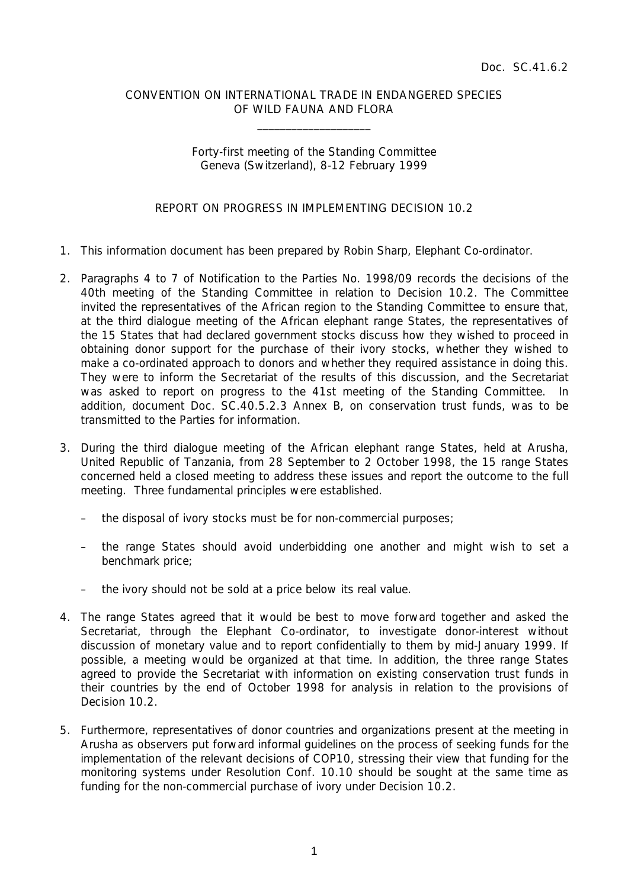## CONVENTION ON INTERNATIONAL TRADE IN ENDANGERED SPECIES OF WILD FAUNA AND FLORA

 $\overline{\phantom{a}}$  , which is a set of the set of the set of the set of the set of the set of the set of the set of the set of the set of the set of the set of the set of the set of the set of the set of the set of the set of th

## Forty-first meeting of the Standing Committee Geneva (Switzerland), 8-12 February 1999

## REPORT ON PROGRESS IN IMPLEMENTING DECISION 10.2

- 1. This information document has been prepared by Robin Sharp, Elephant Co-ordinator.
- 2. Paragraphs 4 to 7 of Notification to the Parties No. 1998/09 records the decisions of the 40th meeting of the Standing Committee in relation to Decision 10.2. The Committee invited the representatives of the African region to the Standing Committee to ensure that, at the third dialogue meeting of the African elephant range States, the representatives of the 15 States that had declared government stocks discuss how they wished to proceed in obtaining donor support for the purchase of their ivory stocks, whether they wished to make a co-ordinated approach to donors and whether they required assistance in doing this. They were to inform the Secretariat of the results of this discussion, and the Secretariat was asked to report on progress to the 41st meeting of the Standing Committee. In addition, document Doc. SC.40.5.2.3 Annex B, on conservation trust funds, was to be transmitted to the Parties for information.
- 3. During the third dialogue meeting of the African elephant range States, held at Arusha, United Republic of Tanzania, from 28 September to 2 October 1998, the 15 range States concerned held a closed meeting to address these issues and report the outcome to the full meeting. Three fundamental principles were established.
	- the disposal of ivory stocks must be for non-commercial purposes;
	- the range States should avoid underbidding one another and might wish to set a benchmark price;
	- the ivory should not be sold at a price below its real value.
- 4. The range States agreed that it would be best to move forward together and asked the Secretariat, through the Elephant Co-ordinator, to investigate donor-interest without discussion of monetary value and to report confidentially to them by mid-January 1999. If possible, a meeting would be organized at that time. In addition, the three range States agreed to provide the Secretariat with information on existing conservation trust funds in their countries by the end of October 1998 for analysis in relation to the provisions of Decision 10.2
- 5. Furthermore, representatives of donor countries and organizations present at the meeting in Arusha as observers put forward informal guidelines on the process of seeking funds for the implementation of the relevant decisions of COP10, stressing their view that funding for the monitoring systems under Resolution Conf. 10.10 should be sought at the same time as funding for the non-commercial purchase of ivory under Decision 10.2.